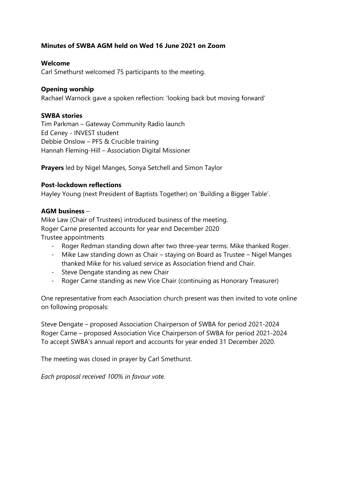# **Minutes of SWBA AGM held on Wed 16 June 2021 on Zoom**

## **Welcome**

Carl Smethurst welcomed 75 participants to the meeting.

## **Opening worship**

Rachael Warnock gave a spoken reflection: 'looking back but moving forward'

### **SWBA stories**

Tim Parkman – Gateway Community Radio launch Ed Ceney - INVEST student Debbie Onslow – PFS & Crucible training Hannah Fleming-Hill – Association Digital Missioner

**Prayers** led by Nigel Manges, Sonya Setchell and Simon Taylor

# **Post-lockdown reflections**

Hayley Young (next President of Baptists Together) on 'Building a Bigger Table'.

### **AGM business** –

Mike Law (Chair of Trustees) introduced business of the meeting. Roger Carne presented accounts for year end December 2020 Trustee appointments

- Roger Redman standing down after two three-year terms. Mike thanked Roger.
- Mike Law standing down as Chair staying on Board as Trustee Nigel Manges thanked Mike for his valued service as Association friend and Chair.
- Steve Dengate standing as new Chair
- Roger Carne standing as new Vice Chair (continuing as Honorary Treasurer)

One representative from each Association church present was then invited to vote online on following proposals:

Steve Dengate – proposed Association Chairperson of SWBA for period 2021-2024 Roger Carne – proposed Association Vice Chairperson of SWBA for period 2021-2024 To accept SWBA's annual report and accounts for year ended 31 December 2020.

The meeting was closed in prayer by Carl Smethurst.

*Each proposal received 100% in favour vote.*